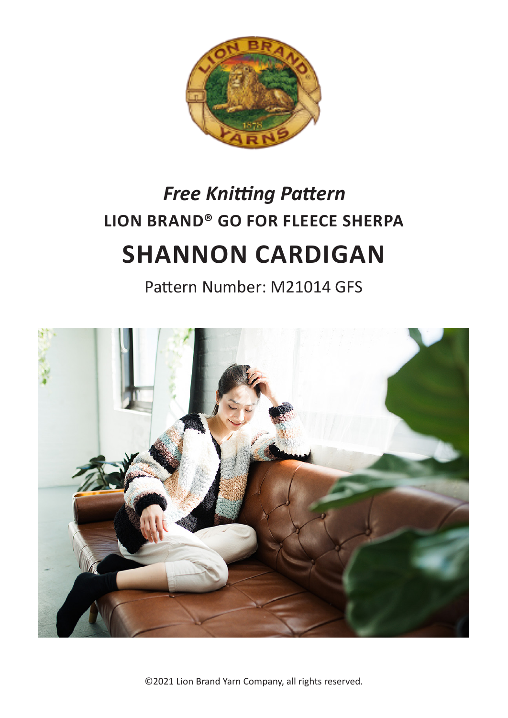

# **LION BRAND® GO FOR FLEECE SHERPA SHANNON CARDIGAN** *Free Knitting Pattern*

Pattern Number: M21014 GFS



©2021 Lion Brand Yarn Company, all rights reserved.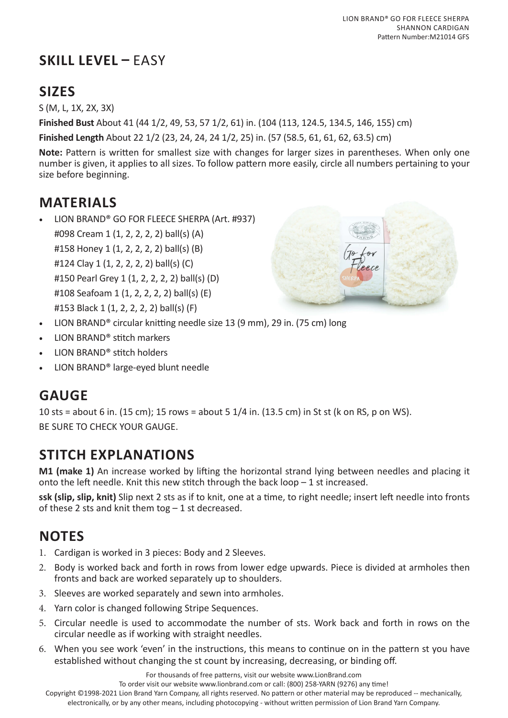# **SKILL LEVEL –** EASY

# **SIZES**

S (M, L, 1X, 2X, 3X)

**Finished Bust** About 41 (44 1/2, 49, 53, 57 1/2, 61) in. (104 (113, 124.5, 134.5, 146, 155) cm)

**Finished Length** About 22 1/2 (23, 24, 24, 24 1/2, 25) in. (57 (58.5, 61, 61, 62, 63.5) cm)

**Note:** Pattern is written for smallest size with changes for larger sizes in parentheses. When only one number is given, it applies to all sizes. To follow pattern more easily, circle all numbers pertaining to your size before beginning.

## **MATERIALS**

• LION BRAND® GO FOR FLEECE SHERPA (Art. #937) #098 Cream 1 (1, 2, 2, 2, 2) ball(s) (A) #158 Honey 1 (1, 2, 2, 2, 2) ball(s) (B) #124 Clay 1 (1, 2, 2, 2, 2) ball(s) (C) #150 Pearl Grey 1 (1, 2, 2, 2, 2) ball(s) (D) #108 Seafoam 1 (1, 2, 2, 2, 2) ball(s) (E) #153 Black 1 (1, 2, 2, 2, 2) ball(s) (F)



- LION BRAND® circular knitting needle size 13 (9 mm), 29 in. (75 cm) long
- LION BRAND® stitch markers
- LION BRAND® stitch holders
- LION BRAND® large-eyed blunt needle

# **GAUGE**

10 sts = about 6 in. (15 cm); 15 rows = about 5 1/4 in. (13.5 cm) in St st (k on RS, p on WS). BE SURE TO CHECK YOUR GAUGE.

# **STITCH EXPLANATIONS**

**M1 (make 1)** An increase worked by lifting the horizontal strand lying between needles and placing it onto the left needle. Knit this new stitch through the back loop  $-1$  st increased.

**ssk (slip, slip, knit)** Slip next 2 sts as if to knit, one at a time, to right needle; insert left needle into fronts of these 2 sts and knit them tog  $-1$  st decreased.

# **NOTES**

- 1. Cardigan is worked in 3 pieces: Body and 2 Sleeves.
- 2. Body is worked back and forth in rows from lower edge upwards. Piece is divided at armholes then fronts and back are worked separately up to shoulders.
- 3. Sleeves are worked separately and sewn into armholes.
- 4. Yarn color is changed following Stripe Sequences.
- 5. Circular needle is used to accommodate the number of sts. Work back and forth in rows on the circular needle as if working with straight needles.
- 6. When you see work 'even' in the instructions, this means to continue on in the pattern st you have established without changing the st count by increasing, decreasing, or binding off.

For thousands of free patterns, visit our website www.LionBrand.com

To order visit our website www.lionbrand.com or call: (800) 258-YARN (9276) any time!

Copyright ©1998-2021 Lion Brand Yarn Company, all rights reserved. No pattern or other material may be reproduced -- mechanically, electronically, or by any other means, including photocopying - without written permission of Lion Brand Yarn Company.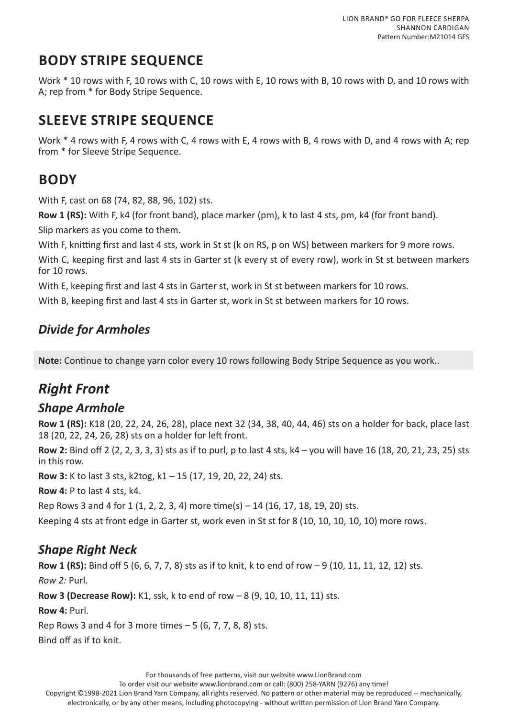# **BODY STRIPE SEQUENCE**

Work \* 10 rows with F, 10 rows with C, 10 rows with E, 10 rows with B, 10 rows with D, and 10 rows with A; rep from \* for Body Stripe Sequence.

# **SLEEVE STRIPE SEQUENCE**

Work \* 4 rows with F, 4 rows with C, 4 rows with E, 4 rows with B, 4 rows with D, and 4 rows with A; rep from \* for Sleeve Stripe Sequence.

# **BODY**

With F, cast on 68 (74, 82, 88, 96, 102) sts.

**Row 1 (RS):** With F, k4 (for front band), place marker (pm), k to last 4 sts, pm, k4 (for front band).

Slip markers as you come to them.

With F, knitting first and last 4 sts, work in St st (k on RS, p on WS) between markers for 9 more rows.

With C, keeping first and last 4 sts in Garter st (k every st of every row), work in St st between markers for 10 rows.

With E, keeping first and last 4 sts in Garter st, work in St st between markers for 10 rows.

With B, keeping first and last 4 sts in Garter st, work in St st between markers for 10 rows.

## *Divide for Armholes*

**Note:** Continue to change yarn color every 10 rows following Body Stripe Sequence as you work..

## *Right Front*

#### *Shape Armhole*

**Row 1 (RS):** K18 (20, 22, 24, 26, 28), place next 32 (34, 38, 40, 44, 46) sts on a holder for back, place last 18 (20, 22, 24, 26, 28) sts on a holder for left front.

**Row 2:** Bind off 2 (2, 2, 3, 3, 3) sts as if to purl, p to last 4 sts, k4 – you will have 16 (18, 20, 21, 23, 25) sts in this row.

**Row 3:** K to last 3 sts, k2tog, k1 – 15 (17, 19, 20, 22, 24) sts.

**Row 4:** P to last 4 sts, k4.

```
Rep Rows 3 and 4 for 1 (1, 2, 2, 3, 4) more time(s) – 14 (16, 17, 18, 19, 20) sts.
```
Keeping 4 sts at front edge in Garter st, work even in St st for 8 (10, 10, 10, 10, 10) more rows.

### *Shape Right Neck*

**Row 1 (RS):** Bind off 5 (6, 6, 7, 7, 8) sts as if to knit, k to end of row – 9 (10, 11, 11, 12, 12) sts. *Row 2:* Purl.

**Row 3 (Decrease Row):** K1, ssk, k to end of row – 8 (9, 10, 10, 11, 11) sts.

**Row 4:** Purl.

Rep Rows 3 and 4 for 3 more times – 5 (6, 7, 7, 8, 8) sts.

Bind off as if to knit.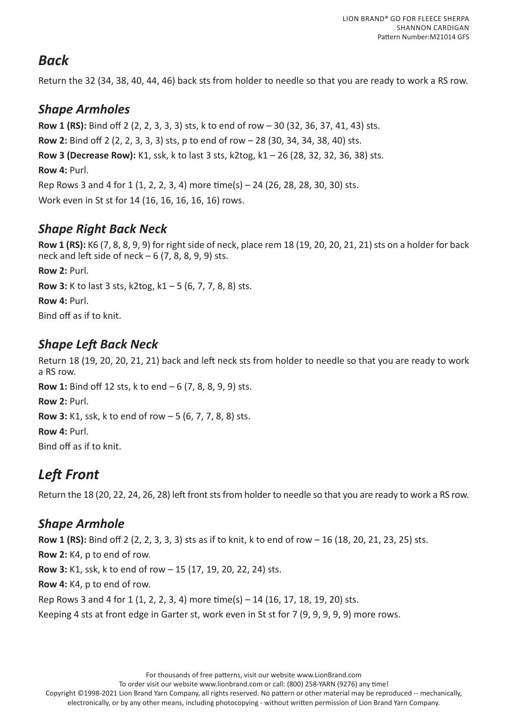## *Back*

Return the 32 (34, 38, 40, 44, 46) back sts from holder to needle so that you are ready to work a RS row.

### *Shape Armholes*

**Row 1 (RS):** Bind off 2 (2, 2, 3, 3, 3) sts, k to end of row – 30 (32, 36, 37, 41, 43) sts. **Row 2:** Bind off 2 (2, 2, 3, 3, 3) sts, p to end of row – 28 (30, 34, 34, 38, 40) sts. **Row 3 (Decrease Row):** K1, ssk, k to last 3 sts, k2tog, k1 – 26 (28, 32, 32, 36, 38) sts. **Row 4: Purl.** Rep Rows 3 and 4 for 1 (1, 2, 2, 3, 4) more time(s) – 24 (26, 28, 28, 30, 30) sts. Work even in St st for 14 (16, 16, 16, 16, 16) rows.

## *Shape Right Back Neck*

**Row 1 (RS):** K6 (7, 8, 8, 9, 9) for right side of neck, place rem 18 (19, 20, 20, 21, 21) sts on a holder for back neck and left side of neck  $-6$  (7, 8, 8, 9, 9) sts.

**Row 2:** Purl.

**Row 3:** K to last 3 sts, k2tog, k1 – 5 (6, 7, 7, 8, 8) sts.

**Row 4:** Purl.

Bind off as if to knit.

### *Shape Left Back Neck*

Return 18 (19, 20, 20, 21, 21) back and left neck sts from holder to needle so that you are ready to work a RS row. **Row 1:** Bind off 12 sts, k to end – 6 (7, 8, 8, 9, 9) sts. **Row 2:** Purl. **Row 3:** K1, ssk, k to end of row – 5 (6, 7, 7, 8, 8) sts. **Row 4:** Purl. Bind off as if to knit.

# *Left Front*

Return the 18 (20, 22, 24, 26, 28) left front sts from holder to needle so that you are ready to work a RS row.

### *Shape Armhole*

**Row 1 (RS):** Bind off 2 (2, 2, 3, 3, 3) sts as if to knit, k to end of row – 16 (18, 20, 21, 23, 25) sts. **Row 2:** K4, p to end of row. **Row 3:** K1, ssk, k to end of row – 15 (17, 19, 20, 22, 24) sts. **Row 4:** K4, p to end of row. Rep Rows 3 and 4 for 1 (1, 2, 2, 3, 4) more time(s) – 14 (16, 17, 18, 19, 20) sts. Keeping 4 sts at front edge in Garter st, work even in St st for 7 (9, 9, 9, 9, 9) more rows.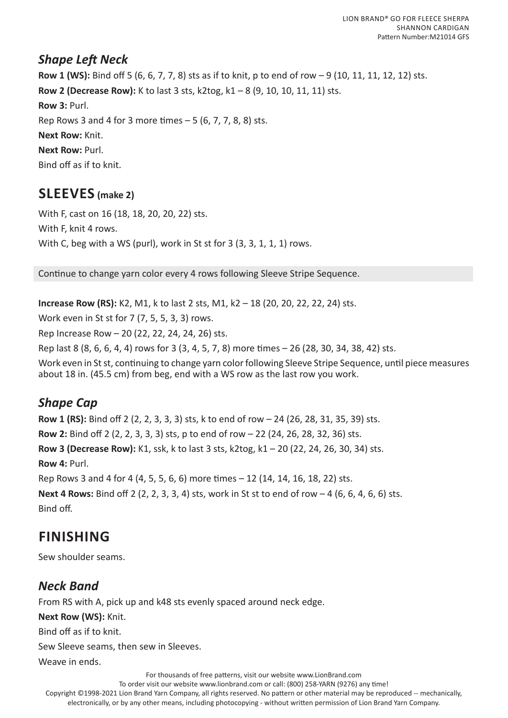#### *Shape Left Neck*

**Row 1 (WS):** Bind off 5 (6, 6, 7, 7, 8) sts as if to knit, p to end of row – 9 (10, 11, 11, 12, 12) sts. **Row 2 (Decrease Row):** K to last 3 sts, k2tog, k1 – 8 (9, 10, 10, 11, 11) sts. **Row 3:** Purl. Rep Rows 3 and 4 for 3 more times – 5 (6, 7, 7, 8, 8) sts. **Next Row:** Knit. **Next Row:** Purl. Bind off as if to knit.

## **SLEEVES (make 2)**

With F, cast on 16 (18, 18, 20, 20, 22) sts. With F, knit 4 rows. With C, beg with a WS (purl), work in St st for 3 (3, 3, 1, 1, 1) rows.

Continue to change yarn color every 4 rows following Sleeve Stripe Sequence.

**Increase Row (RS):** K2, M1, k to last 2 sts, M1, k2 – 18 (20, 20, 22, 22, 24) sts.

Work even in St st for 7 (7, 5, 5, 3, 3) rows.

Rep Increase Row – 20 (22, 22, 24, 24, 26) sts.

Rep last 8 (8, 6, 6, 4, 4) rows for 3 (3, 4, 5, 7, 8) more times – 26 (28, 30, 34, 38, 42) sts.

Work even in St st, continuing to change yarn color following Sleeve Stripe Sequence, until piece measures about 18 in. (45.5 cm) from beg, end with a WS row as the last row you work.

### *Shape Cap*

**Row 1 (RS):** Bind off 2 (2, 2, 3, 3, 3) sts, k to end of row – 24 (26, 28, 31, 35, 39) sts. **Row 2:** Bind off 2 (2, 2, 3, 3, 3) sts, p to end of row – 22 (24, 26, 28, 32, 36) sts. **Row 3 (Decrease Row):** K1, ssk, k to last 3 sts, k2tog, k1 – 20 (22, 24, 26, 30, 34) sts. **Row 4:** Purl. Rep Rows 3 and 4 for 4 (4, 5, 5, 6, 6) more times – 12 (14, 14, 16, 18, 22) sts. **Next 4 Rows:** Bind off 2 (2, 2, 3, 3, 4) sts, work in St st to end of row – 4 (6, 6, 4, 6, 6) sts. Bind off.

## **FINISHING**

Sew shoulder seams.

### *Neck Band*

From RS with A, pick up and k48 sts evenly spaced around neck edge.

**Next Row (WS):** Knit.

Bind off as if to knit.

Sew Sleeve seams, then sew in Sleeves.

Weave in ends.

For thousands of free patterns, visit our website www.LionBrand.com

To order visit our website www.lionbrand.com or call: (800) 258-YARN (9276) any time!

Copyright ©1998-2021 Lion Brand Yarn Company, all rights reserved. No pattern or other material may be reproduced -- mechanically,

electronically, or by any other means, including photocopying - without written permission of Lion Brand Yarn Company.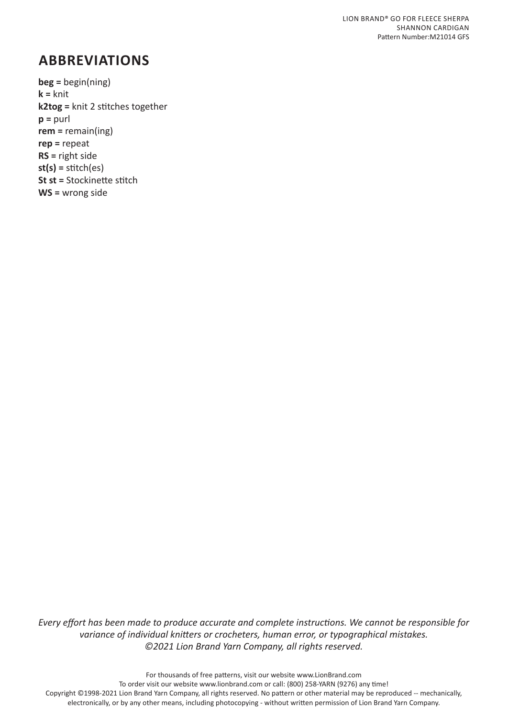## **ABBREVIATIONS**

**beg =** begin(ning) **k =** knit **k2tog =** knit 2 stitches together **p =** purl **rem =** remain(ing) **rep =** repeat **RS =** right side **st(s) =** stitch(es) **St st =** Stockinette stitch **WS =** wrong side

*Every effort has been made to produce accurate and complete instructions. We cannot be responsible for variance of individual knitters or crocheters, human error, or typographical mistakes. ©2021 Lion Brand Yarn Company, all rights reserved.*

For thousands of free patterns, visit our website www.LionBrand.com To order visit our website www.lionbrand.com or call: (800) 258-YARN (9276) any time! Copyright ©1998-2021 Lion Brand Yarn Company, all rights reserved. No pattern or other material may be reproduced -- mechanically, electronically, or by any other means, including photocopying - without written permission of Lion Brand Yarn Company.